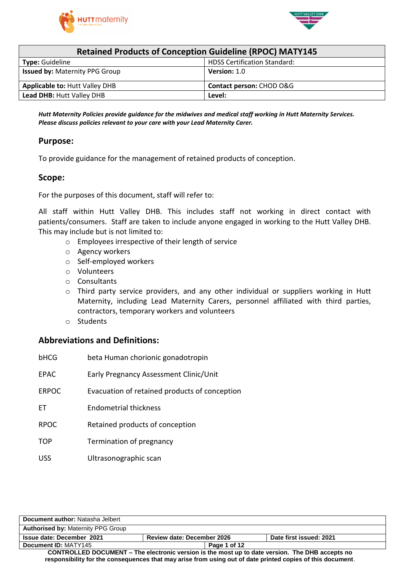



| <b>Retained Products of Conception Guideline (RPOC) MATY145</b> |                                     |  |  |
|-----------------------------------------------------------------|-------------------------------------|--|--|
| <b>Type: Guideline</b>                                          | <b>HDSS Certification Standard:</b> |  |  |
| <b>Issued by: Maternity PPG Group</b>                           | <b>Version: 1.0</b>                 |  |  |
| <b>Applicable to: Hutt Valley DHB</b>                           | Contact person: CHOD O&G            |  |  |
| <b>Lead DHB: Hutt Valley DHB</b><br>Level:                      |                                     |  |  |

*Hutt Maternity Policies provide guidance for the midwives and medical staff working in Hutt Maternity Services. Please discuss policies relevant to your care with your Lead Maternity Carer.*

#### **Purpose:**

To provide guidance for the management of retained products of conception.

#### **Scope:**

For the purposes of this document, staff will refer to:

All staff within Hutt Valley DHB. This includes staff not working in direct contact with patients/consumers. Staff are taken to include anyone engaged in working to the Hutt Valley DHB. This may include but is not limited to:

- o Employees irrespective of their length of service
- o Agency workers
- o Self-employed workers
- o Volunteers
- o Consultants
- $\circ$  Third party service providers, and any other individual or suppliers working in Hutt Maternity, including Lead Maternity Carers, personnel affiliated with third parties, contractors, temporary workers and volunteers
- o Students

#### **Abbreviations and Definitions:**

| bHCG         | beta Human chorionic gonadotropin             |
|--------------|-----------------------------------------------|
| EPAC         | Early Pregnancy Assessment Clinic/Unit        |
| <b>ERPOC</b> | Evacuation of retained products of conception |
| FT           | Endometrial thickness                         |
| <b>RPOC</b>  | Retained products of conception               |
| TOP          | Termination of pregnancy                      |
| USS          | Ultrasonographic scan                         |

| Document author: Natasha Jelbert                                                                           |                                   |              |                         |
|------------------------------------------------------------------------------------------------------------|-----------------------------------|--------------|-------------------------|
| <b>Authorised by: Maternity PPG Group</b>                                                                  |                                   |              |                         |
| Issue date: December 2021                                                                                  | <b>Review date: December 2026</b> |              | Date first issued: 2021 |
| Document ID: MATY145                                                                                       |                                   | Page 1 of 12 |                         |
| CONTROLLED DOCUMENT – The electronic version is the most up to date version. The DHB accepts no            |                                   |              |                         |
| responsibility for the consequences that may arise from using out of date printed copies of this document. |                                   |              |                         |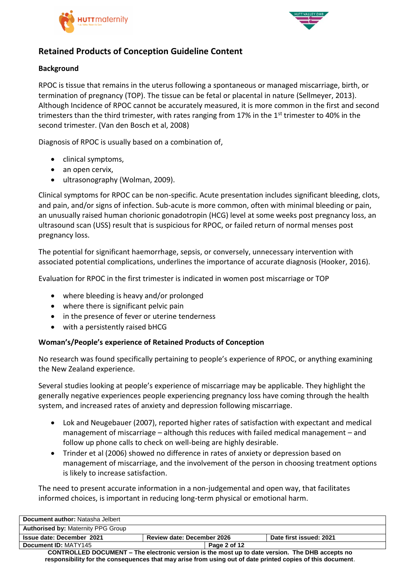



# **Retained Products of Conception Guideline Content**

### **Background**

RPOC is tissue that remains in the uterus following a spontaneous or managed miscarriage, birth, or termination of pregnancy (TOP). The tissue can be fetal or placental in nature (Sellmeyer, 2013). Although Incidence of RPOC cannot be accurately measured, it is more common in the first and second trimesters than the third trimester, with rates ranging from 17% in the 1<sup>st</sup> trimester to 40% in the second trimester. (Van den Bosch et al, 2008)

Diagnosis of RPOC is usually based on a combination of,

- clinical symptoms,
- an open cervix,
- ultrasonography (Wolman, 2009).

Clinical symptoms for RPOC can be non-specific. Acute presentation includes significant bleeding, clots, and pain, and/or signs of infection. Sub-acute is more common, often with minimal bleeding or pain, an unusually raised human chorionic gonadotropin (HCG) level at some weeks post pregnancy loss, an ultrasound scan (USS) result that is suspicious for RPOC, or failed return of normal menses post pregnancy loss.

The potential for significant haemorrhage, sepsis, or conversely, unnecessary intervention with associated potential complications, underlines the importance of accurate diagnosis (Hooker, 2016).

Evaluation for RPOC in the first trimester is indicated in women post miscarriage or TOP

- where bleeding is heavy and/or prolonged
- where there is significant pelvic pain
- in the presence of fever or uterine tenderness
- with a persistently raised bHCG

## **Woman's/People's experience of Retained Products of Conception**

No research was found specifically pertaining to people's experience of RPOC, or anything examining the New Zealand experience.

Several studies looking at people's experience of miscarriage may be applicable. They highlight the generally negative experiences people experiencing pregnancy loss have coming through the health system, and increased rates of anxiety and depression following miscarriage.

- Lok and Neugebauer (2007), reported higher rates of satisfaction with expectant and medical management of miscarriage – although this reduces with failed medical management – and follow up phone calls to check on well-being are highly desirable.
- Trinder et al (2006) showed no difference in rates of anxiety or depression based on management of miscarriage, and the involvement of the person in choosing treatment options is likely to increase satisfaction.

The need to present accurate information in a non-judgemental and open way, that facilitates informed choices, is important in reducing long-term physical or emotional harm.

| Document author: Natasha Jelbert                                                                 |                                   |              |                         |
|--------------------------------------------------------------------------------------------------|-----------------------------------|--------------|-------------------------|
| <b>Authorised by: Maternity PPG Group</b>                                                        |                                   |              |                         |
| <b>Issue date: December 2021</b>                                                                 | <b>Review date: December 2026</b> |              | Date first issued: 2021 |
| Document ID: MATY145                                                                             |                                   | Page 2 of 12 |                         |
| CONTROLLED DOCLIMENT – The electronic version is the most un to date version. The DHR accents no |                                   |              |                         |

The electronic version is the most up to date version. The DH **responsibility for the consequences that may arise from using out of date printed copies of this document**.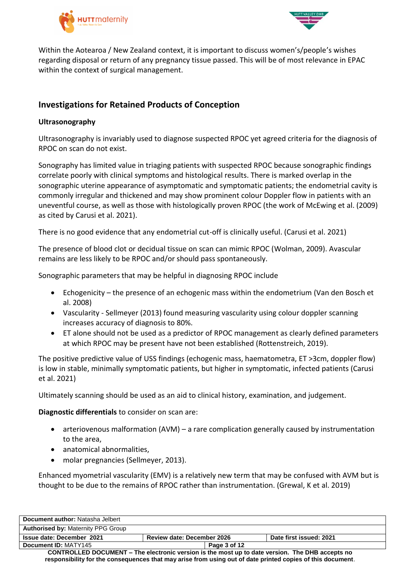



Within the Aotearoa / New Zealand context, it is important to discuss women's/people's wishes regarding disposal or return of any pregnancy tissue passed. This will be of most relevance in EPAC within the context of surgical management.

# **Investigations for Retained Products of Conception**

#### **Ultrasonography**

Ultrasonography is invariably used to diagnose suspected RPOC yet agreed criteria for the diagnosis of RPOC on scan do not exist.

Sonography has limited value in triaging patients with suspected RPOC because sonographic findings correlate poorly with clinical symptoms and histological results. There is marked overlap in the sonographic uterine appearance of asymptomatic and symptomatic patients; the endometrial cavity is commonly irregular and thickened and may show prominent colour Doppler flow in patients with an uneventful course, as well as those with histologically proven RPOC (the work of McEwing et al. (2009) as cited by Carusi et al. 2021).

There is no good evidence that any endometrial cut-off is clinically useful. (Carusi et al. 2021)

The presence of blood clot or decidual tissue on scan can mimic RPOC (Wolman, 2009). Avascular remains are less likely to be RPOC and/or should pass spontaneously.

Sonographic parameters that may be helpful in diagnosing RPOC include

- Echogenicity the presence of an echogenic mass within the endometrium (Van den Bosch et al. 2008)
- Vascularity Sellmeyer (2013) found measuring vascularity using colour doppler scanning increases accuracy of diagnosis to 80%.
- ET alone should not be used as a predictor of RPOC management as clearly defined parameters at which RPOC may be present have not been established (Rottenstreich, 2019).

The positive predictive value of USS findings (echogenic mass, haematometra, ET >3cm, doppler flow) is low in stable, minimally symptomatic patients, but higher in symptomatic, infected patients (Carusi et al. 2021)

Ultimately scanning should be used as an aid to clinical history, examination, and judgement.

**Diagnostic differentials** to consider on scan are:

- arteriovenous malformation (AVM) a rare complication generally caused by instrumentation to the area,
- anatomical abnormalities,
- molar pregnancies (Sellmeyer, 2013).

Enhanced myometrial vascularity (EMV) is a relatively new term that may be confused with AVM but is thought to be due to the remains of RPOC rather than instrumentation. (Grewal, K et al. 2019)

| Document author: Natasha Jelbert                                                                           |                                   |              |                         |
|------------------------------------------------------------------------------------------------------------|-----------------------------------|--------------|-------------------------|
| <b>Authorised by: Maternity PPG Group</b>                                                                  |                                   |              |                         |
| <b>Issue date: December 2021</b>                                                                           | <b>Review date: December 2026</b> |              | Date first issued: 2021 |
| Document ID: MATY145                                                                                       |                                   | Page 3 of 12 |                         |
| CONTROLLED DOCUMENT – The electronic version is the most up to date version. The DHB accepts no            |                                   |              |                         |
| responsibility for the consequences that may arise from using out of date printed copies of this document. |                                   |              |                         |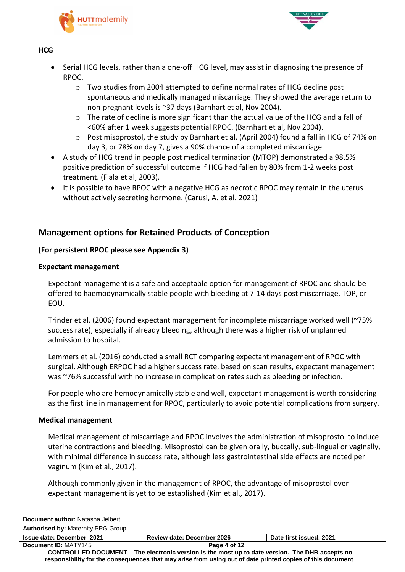



#### **HCG**

- Serial HCG levels, rather than a one-off HCG level, may assist in diagnosing the presence of RPOC.
	- o Two studies from 2004 attempted to define normal rates of HCG decline post spontaneous and medically managed miscarriage. They showed the average return to non-pregnant levels is ~37 days (Barnhart et al, Nov 2004).
	- o The rate of decline is more significant than the actual value of the HCG and a fall of <60% after 1 week suggests potential RPOC. (Barnhart et al, Nov 2004).
	- o Post misoprostol, the study by Barnhart et al. (April 2004) found a fall in HCG of 74% on day 3, or 78% on day 7, gives a 90% chance of a completed miscarriage.
- A study of HCG trend in people post medical termination (MTOP) demonstrated a 98.5% positive prediction of successful outcome if HCG had fallen by 80% from 1-2 weeks post treatment. (Fiala et al, 2003).
- It is possible to have RPOC with a negative HCG as necrotic RPOC may remain in the uterus without actively secreting hormone. (Carusi, A. et al. 2021)

## **Management options for Retained Products of Conception**

#### **(For persistent RPOC please see Appendix 3)**

#### **Expectant management**

Expectant management is a safe and acceptable option for management of RPOC and should be offered to haemodynamically stable people with bleeding at 7-14 days post miscarriage, TOP, or EOU.

Trinder et al. (2006) found expectant management for incomplete miscarriage worked well (~75% success rate), especially if already bleeding, although there was a higher risk of unplanned admission to hospital.

Lemmers et al. (2016) conducted a small RCT comparing expectant management of RPOC with surgical. Although ERPOC had a higher success rate, based on scan results, expectant management was ~76% successful with no increase in complication rates such as bleeding or infection.

For people who are hemodynamically stable and well, expectant management is worth considering as the first line in management for RPOC, particularly to avoid potential complications from surgery.

#### **Medical management**

Medical management of miscarriage and RPOC involves the administration of misoprostol to induce uterine contractions and bleeding. Misoprostol can be given orally, buccally, sub-lingual or vaginally, with minimal difference in success rate, although less gastrointestinal side effects are noted per vaginum (Kim et al., 2017).

Although commonly given in the management of RPOC, the advantage of misoprostol over expectant management is yet to be established (Kim et al., 2017).

| Document author: Natasha Jelbert                                                                           |                                   |              |                         |
|------------------------------------------------------------------------------------------------------------|-----------------------------------|--------------|-------------------------|
| <b>Authorised by: Maternity PPG Group</b>                                                                  |                                   |              |                         |
| <b>Issue date: December 2021</b>                                                                           | <b>Review date: December 2026</b> |              | Date first issued: 2021 |
| Document ID: MATY145                                                                                       |                                   | Page 4 of 12 |                         |
| <b>CONTROLLED DOCUMENT – The electronic version is the most up to date version. The DHB accepts no</b>     |                                   |              |                         |
| responsibility for the consequences that may arise from using out of date printed copies of this document. |                                   |              |                         |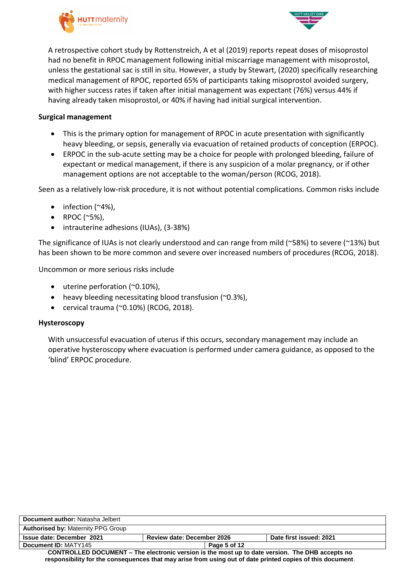



A retrospective cohort study by Rottenstreich, A et al (2019) reports repeat doses of misoprostol had no benefit in RPOC management following initial miscarriage management with misoprostol, unless the gestational sac is still in situ. However, a study by Stewart, (2020) specifically researching medical management of RPOC, reported 65% of participants taking misoprostol avoided surgery, with higher success rates if taken after initial management was expectant (76%) versus 44% if having already taken misoprostol, or 40% if having had initial surgical intervention.

#### **Surgical management**

- This is the primary option for management of RPOC in acute presentation with significantly heavy bleeding, or sepsis, generally via evacuation of retained products of conception (ERPOC).
- ERPOC in the sub-acute setting may be a choice for people with prolonged bleeding, failure of expectant or medical management, if there is any suspicion of a molar pregnancy, or if other management options are not acceptable to the woman/person (RCOG, 2018).

Seen as a relatively low-risk procedure, it is not without potential complications. Common risks include

- $\bullet$  infection (~4%),
- RPOC  $(^{~}5\%)$ ,
- intrauterine adhesions (IUAs), (3-38%)

The significance of IUAs is not clearly understood and can range from mild (~58%) to severe (~13%) but has been shown to be more common and severe over increased numbers of procedures (RCOG, 2018).

Uncommon or more serious risks include

- uterine perforation (~0.10%),
- heavy bleeding necessitating blood transfusion ( $\sim$ 0.3%),
- $\bullet$  cervical trauma (~0.10%) (RCOG, 2018).

#### **Hysteroscopy**

With unsuccessful evacuation of uterus if this occurs, secondary management may include an operative hysteroscopy where evacuation is performed under camera guidance, as opposed to the 'blind' ERPOC procedure.

| Document author: Natasha Jelbert                                                                           |                                   |              |                         |
|------------------------------------------------------------------------------------------------------------|-----------------------------------|--------------|-------------------------|
| <b>Authorised by: Maternity PPG Group</b>                                                                  |                                   |              |                         |
| <b>Issue date: December 2021</b>                                                                           | <b>Review date: December 2026</b> |              | Date first issued: 2021 |
| Document ID: MATY145                                                                                       |                                   | Page 5 of 12 |                         |
| CONTROLLED DOCUMENT - The electronic version is the most up to date version. The DHB accepts no            |                                   |              |                         |
| responsibility for the consequences that may arise from using out of date printed copies of this document. |                                   |              |                         |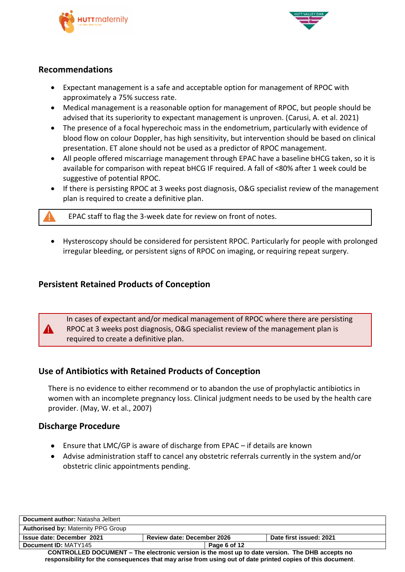



### **Recommendations**

- Expectant management is a safe and acceptable option for management of RPOC with approximately a 75% success rate.
- Medical management is a reasonable option for management of RPOC, but people should be advised that its superiority to expectant management is unproven. (Carusi, A. et al. 2021)
- The presence of a focal hyperechoic mass in the endometrium, particularly with evidence of blood flow on colour Doppler, has high sensitivity, but intervention should be based on clinical presentation. ET alone should not be used as a predictor of RPOC management.
- All people offered miscarriage management through EPAC have a baseline bHCG taken, so it is available for comparison with repeat bHCG IF required. A fall of <80% after 1 week could be suggestive of potential RPOC.
- If there is persisting RPOC at 3 weeks post diagnosis, O&G specialist review of the management plan is required to create a definitive plan.

EPAC staff to flag the 3-week date for review on front of notes.

 Hysteroscopy should be considered for persistent RPOC. Particularly for people with prolonged irregular bleeding, or persistent signs of RPOC on imaging, or requiring repeat surgery.

## **Persistent Retained Products of Conception**

In cases of expectant and/or medical management of RPOC where there are persisting RPOC at 3 weeks post diagnosis, O&G specialist review of the management plan is required to create a definitive plan.

## **Use of Antibiotics with Retained Products of Conception**

There is no evidence to either recommend or to abandon the use of prophylactic antibiotics in women with an incomplete pregnancy loss. Clinical judgment needs to be used by the health care provider. (May, W. et al., 2007)

#### **Discharge Procedure**

- Ensure that LMC/GP is aware of discharge from EPAC if details are known
- Advise administration staff to cancel any obstetric referrals currently in the system and/or obstetric clinic appointments pending.

| Document author: Natasha Jelbert                                                                           |                                   |                         |  |
|------------------------------------------------------------------------------------------------------------|-----------------------------------|-------------------------|--|
| <b>Authorised by: Maternity PPG Group</b>                                                                  |                                   |                         |  |
| <b>Issue date: December 2021</b>                                                                           | <b>Review date: December 2026</b> | Date first issued: 2021 |  |
| Document ID: MATY145                                                                                       | Page 6 of 12                      |                         |  |
| CONTROLLED DOCUMENT – The electronic version is the most up to date version. The DHB accepts no            |                                   |                         |  |
| responsibility for the consequences that may arise from using out of date printed copies of this document. |                                   |                         |  |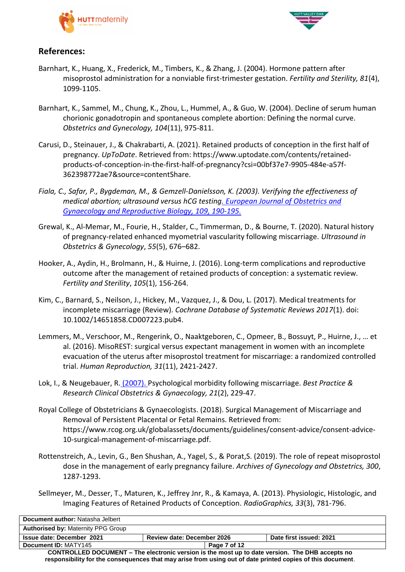



## **References:**

- Barnhart, K., Huang, X., Frederick, M., Timbers, K., & Zhang, J. (2004). Hormone pattern after misoprostol administration for a nonviable first-trimester gestation. *Fertility and Sterility, 81*(4), 1099-1105.
- Barnhart, K., Sammel, M., Chung, K., Zhou, L., Hummel, A., & Guo, W. (2004). Decline of serum human chorionic gonadotropin and spontaneous complete abortion: Defining the normal curve. *Obstetrics and Gynecology, 104*(11), 975-811.
- Carusi, D., Steinauer, J., & Chakrabarti, A. (2021). Retained products of conception in the first half of pregnancy. *UpToDate*. Retrieved from: https://www.uptodate.com/contents/retainedproducts-of-conception-in-the-first-half-of-pregnancy?csi=00bf37e7-9905-484e-a57f-362398772ae7&source=contentShare.
- *Fiala, C., Safar, P., Bygdeman, M., & Gemzell-Danielsson, K. (2003). Verifying the effectiveness of medical abortion; ultrasound versus hCG testing. European Journal of Obstetrics and Gynaecology and Reproductive Biology, 109, 190-195.*
- Grewal, K., Al‐Memar, M., Fourie, H., Stalder, C., Timmerman, D., & Bourne, T. (2020). Natural history of pregnancy‐related enhanced myometrial vascularity following miscarriage. *Ultrasound in Obstetrics & Gynecology*, *55*(5), 676–682.
- Hooker, A., Aydin, H., Brolmann, H., & Huirne, J. (2016). Long-term complications and reproductive outcome after the management of retained products of conception: a systematic review. *Fertility and Sterility*, *105*(1), 156-264.
- Kim, C., Barnard, S., Neilson, J., Hickey, M., Vazquez, J., & Dou, L. (2017). Medical treatments for incomplete miscarriage (Review). *Cochrane Database of Systematic Reviews 2017*(1). doi: 10.1002/14651858.CD007223.pub4.
- Lemmers, M., Verschoor, M., Rengerink, O., Naaktgeboren, C., Opmeer, B., Bossuyt, P., Huirne, J., … et al. (2016). MisoREST: surgical versus expectant management in women with an incomplete evacuation of the uterus after misoprostol treatment for miscarriage: a randomized controlled trial. *Human Reproduction, 31*(11), 2421-2427.
- Lok, I., & Neugebauer, R. (2007). Psychological morbidity following miscarriage. *Best Practice & Research Clinical Obstetrics & Gynaecology, 21*(2), 229-47.
- Royal College of Obstetricians & Gynaecologists. (2018). Surgical Management of Miscarriage and Removal of Persistent Placental or Fetal Remains. Retrieved from: https://www.rcog.org.uk/globalassets/documents/guidelines/consent-advice/consent-advice-10-surgical-management-of-miscarriage.pdf.
- Rottenstreich, A., Levin, G., Ben Shushan, A., Yagel, S., & Porat,S. (2019). The role of repeat misoprostol dose in the management of early pregnancy failure. *Archives of Gynecology and Obstetrics, 300*, 1287-1293.
- Sellmeyer, M., Desser, T., Maturen, K., Jeffrey Jnr, R., & Kamaya, A. (2013). Physiologic, Histologic, and Imaging Features of Retained Products of Conception. *RadioGraphics, 33*(3), 781-796.

| Document author: Natasha Jelbert                                                                |                                   |                         |  |
|-------------------------------------------------------------------------------------------------|-----------------------------------|-------------------------|--|
| <b>Authorised by: Maternity PPG Group</b>                                                       |                                   |                         |  |
| Issue date: December 2021                                                                       | <b>Review date: December 2026</b> | Date first issued: 2021 |  |
| Document ID: MATY145                                                                            | Page 7 of 12                      |                         |  |
| CONTROLLED DOCUMENT – The electronic version is the most up to date version. The DHB accepts no |                                   |                         |  |

**responsibility for the consequences that may arise from using out of date printed copies of this document**.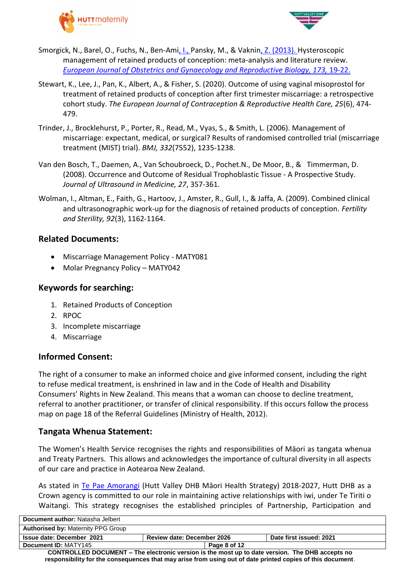



- Smorgick, N., Barel, O., Fuchs, N., Ben-Ami, I., Pansky, M., & Vaknin, Z. (2013). Hysteroscopic management of retained products of conception: meta-analysis and literature review. *European Journal of Obstetrics and Gynaecology and Reproductive Biology, 173, 19-22.*
- Stewart, K., Lee, J., Pan, K., Albert, A., & Fisher, S. (2020). Outcome of using vaginal misoprostol for treatment of retained products of conception after first trimester miscarriage: a retrospective cohort study. *The European Journal of Contraception & Reproductive Health Care, 25*(6), 474- 479.
- Trinder, J., Brocklehurst, P., Porter, R., Read, M., Vyas, S., & Smith, L. (2006). Management of miscarriage: expectant, medical, or surgical? Results of randomised controlled trial (miscarriage treatment (MIST) trial). *BMJ, 332*(7552), 1235-1238.
- Van den Bosch, T., Daemen, A., Van Schoubroeck, D., Pochet.N., De Moor, B., & Timmerman, D. (2008). Occurrence and Outcome of Residual Trophoblastic Tissue - A Prospective Study. *Journal of Ultrasound in Medicine, 27*, 357-361.
- Wolman, I., Altman, E., Faith, G., Hartoov, J., Amster, R., Gull, I., & Jaffa, A. (2009). Combined clinical and ultrasonographic work-up for the diagnosis of retained products of conception. *Fertility and Sterility, 92*(3), 1162-1164.

### **Related Documents:**

- Miscarriage Management Policy MATY081
- Molar Pregnancy Policy MATY042

### **Keywords for searching:**

- 1. Retained Products of Conception
- 2. RPOC
- 3. Incomplete miscarriage
- 4. Miscarriage

# **Informed Consent:**

The right of a consumer to make an informed choice and give informed consent, including the right to refuse medical treatment, is enshrined in law and in the Code of Health and Disability Consumers' Rights in New Zealand. This means that a woman can choose to decline treatment, referral to another practitioner, or transfer of clinical responsibility. If this occurs follow the process map on page 18 of the Referral Guidelines (Ministry of Health, 2012).

## **Tangata Whenua Statement:**

The Women's Health Service recognises the rights and responsibilities of Māori as tangata whenua and Treaty Partners. This allows and acknowledges the importance of cultural diversity in all aspects of our care and practice in Aotearoa New Zealand.

As stated in [Te Pae Amorangi](http://www.huttvalleydhb.org.nz/about-us/reports-and-publications/te-pae-amorangi/) (Hutt Valley DHB Māori Health Strategy) 2018-2027, Hutt DHB as a Crown agency is committed to our role in maintaining active relationships with iwi, under Te Tiriti o Waitangi. This strategy recognises the established principles of Partnership, Participation and

| Document author: Natasha Jelbert                                                                       |                                   |              |                         |  |
|--------------------------------------------------------------------------------------------------------|-----------------------------------|--------------|-------------------------|--|
| <b>Authorised by: Maternity PPG Group</b>                                                              |                                   |              |                         |  |
| <b>Issue date: December 2021</b>                                                                       | <b>Review date: December 2026</b> |              | Date first issued: 2021 |  |
| Document ID: MATY145                                                                                   |                                   | Page 8 of 12 |                         |  |
| <b>CONTROLLED DOCUMENT – The electronic version is the most up to date version. The DHB accepts no</b> |                                   |              |                         |  |

**responsibility for the consequences that may arise from using out of date printed copies of this document**.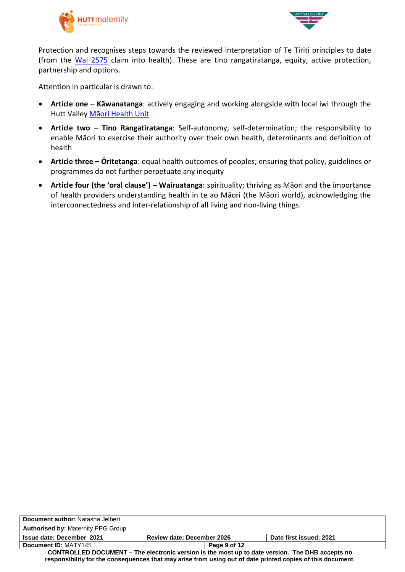



Protection and recognises steps towards the reviewed interpretation of Te Tiriti principles to date (from the [Wai 2575](https://www.health.govt.nz/our-work/populations/maori-health/wai-2575-health-services-and-outcomes-kaupapa-inquiry) claim into health). These are tino rangatiratanga, equity, active protection, partnership and options.

Attention in particular is drawn to:

- **Article one – Kāwanatanga**: actively engaging and working alongside with local iwi through the Hutt Valley [Māori Health Unit](http://intranet.huttvalleydhb.org.nz/our-dhb/departments/maori-health-unit/)
- **Article two – Tino Rangatiratanga**: Self-autonomy, self-determination; the responsibility to enable Māori to exercise their authority over their own health, determinants and definition of health
- **Article three – Ōritetanga**: equal health outcomes of peoples; ensuring that policy, guidelines or programmes do not further perpetuate any inequity
- **Article four (the 'oral clause') – Wairuatanga**: spirituality; thriving as Māori and the importance of health providers understanding health in te ao Māori (the Māori world), acknowledging the interconnectedness and inter-relationship of all living and non-living things.

| Document author: Natasha Jelbert                                                                           |                            |                         |  |
|------------------------------------------------------------------------------------------------------------|----------------------------|-------------------------|--|
| <b>Authorised by: Maternity PPG Group</b>                                                                  |                            |                         |  |
| Issue date: December 2021                                                                                  | Review date: December 2026 | Date first issued: 2021 |  |
| Document ID: MATY145                                                                                       | Page 9 of 12               |                         |  |
| CONTROLLED DOCUMENT – The electronic version is the most up to date version. The DHB accepts no            |                            |                         |  |
| responsibility for the consequences that may arise from using out of date printed copies of this document. |                            |                         |  |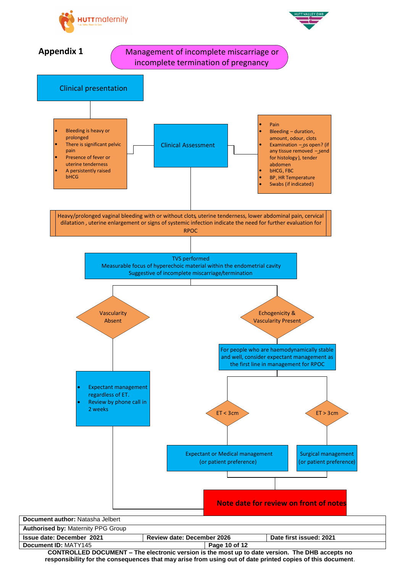



**CONTROLLED DOCUMENT – The electronic version is the most up to date version. The DHB accepts no responsibility for the consequences that may arise from using out of date printed copies of this document**.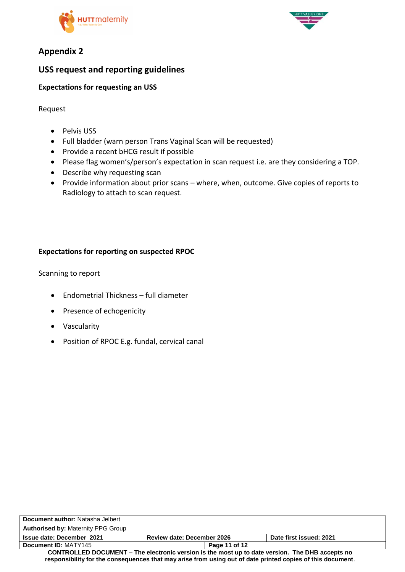



# **Appendix 2**

# **USS request and reporting guidelines**

### **Expectations for requesting an USS**

Request

- Pelvis USS
- Full bladder (warn person Trans Vaginal Scan will be requested)
- Provide a recent bHCG result if possible
- Please flag women's/person's expectation in scan request i.e. are they considering a TOP.
- Describe why requesting scan
- Provide information about prior scans where, when, outcome. Give copies of reports to Radiology to attach to scan request.

## **Expectations for reporting on suspected RPOC**

Scanning to report

- Endometrial Thickness full diameter
- Presence of echogenicity
- Vascularity
- Position of RPOC E.g. fundal, cervical canal

| Document author: Natasha Jelbert                                                                           |                                   |                         |  |
|------------------------------------------------------------------------------------------------------------|-----------------------------------|-------------------------|--|
| <b>Authorised by: Maternity PPG Group</b>                                                                  |                                   |                         |  |
| <b>Issue date: December 2021</b>                                                                           | <b>Review date: December 2026</b> | Date first issued: 2021 |  |
| Document ID: MATY145                                                                                       | Page 11 of 12                     |                         |  |
| CONTROLLED DOCUMENT – The electronic version is the most up to date version. The DHB accepts no            |                                   |                         |  |
| responsibility for the consequences that may arise from using out of date printed copies of this document. |                                   |                         |  |